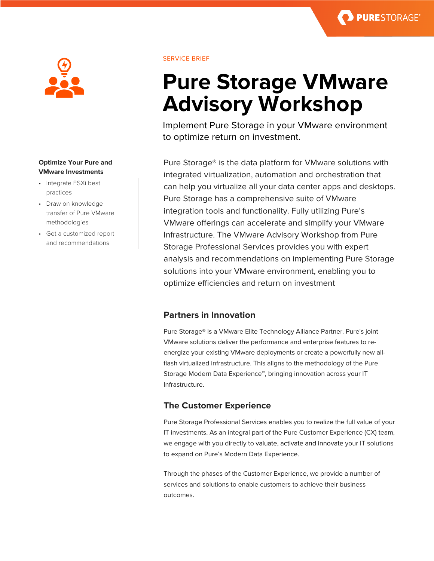## **Optimize Your Pure and VMware Investments**

- Integrate ESXi best practices
- Draw on knowledge transfer of Pure VMware methodologies
- Get a customized report and recommendations

## SERVICE BRIEF

# **Pure Storage VMware Advisory Workshop**

**PURESTORAGE®** 

Implement Pure Storage in your VMware environment to optimize return on investment.

Pure Storage® is the data platform for VMware solutions with integrated virtualization, automation and orchestration that can help you virtualize all your data center apps and desktops. Pure Storage has a comprehensive suite of VMware integration tools and functionality. Fully utilizing Pure's VMware offerings can accelerate and simplify your VMware Infrastructure. The VMware Advisory Workshop from Pure Storage Professional Services provides you with expert analysis and recommendations on implementing Pure Storage solutions into your VMware environment, enabling you to optimize efficiencies and return on investment

# **Partners in Innovation**

Pure Storage® is a VMware Elite Technology Alliance Partner. Pure's joint VMware solutions deliver the performance and enterprise features to reenergize your existing VMware deployments or create a powerfully new allflash virtualized infrastructure. This aligns to the methodology of the Pure Storage Modern Data Experience™, bringing innovation across your IT Infrastructure.

# **The Customer Experience**

Pure Storage Professional Services enables you to realize the full value of your IT investments. As an integral part of the Pure Customer Experience (CX) team, we engage with you directly to valuate, activate and innovate your IT solutions to expand on Pure's Modern Data Experience.

Through the phases of the Customer Experience, we provide a number of services and solutions to enable customers to achieve their business outcomes.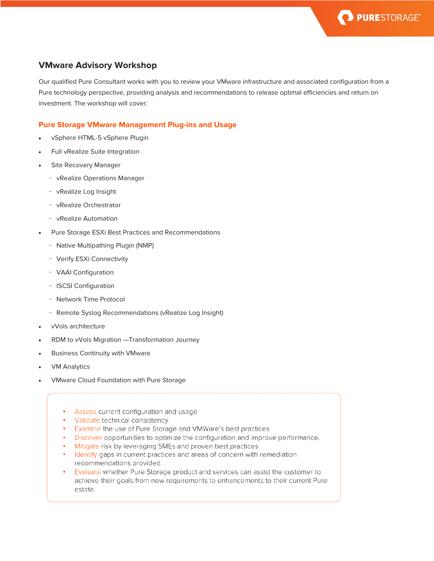

# **VMware Advisory Workshop**

Our qualified Pure Consultant works with you to review your VMware infrastructure and associated configuration from a Pure technology perspective, providing analysis and recommendations to release optimal efficiencies and return on investment. The workshop will cover:

## **Pure Storage VMware Management Plug-ins and Usage**

- vSphere HTML-5 vSphere Plugin
- Full vRealize Suite Integration
- Site Recovery Manager
	- − vRealize Operations Manager
	- − vRealize Log Insight
	- − vRealize Orchestrator
	- − vRealize Automation
- Pure Storage ESXi Best Practices and Recommendations
	- − Native Multipathing Plugin (NMP)
	- − Verify ESXi Connectivity
	- − VAAI Configuration
	- − ISCSI Configuration
	- − Network Time Protocol
	- − Remote Syslog Recommendations (vRealize Log Insight)
- vVols architecture
- RDM to vVols Migration —Transformation Journey
- Business Continuity with VMware
- **VM Analytics**
- VMware Cloud Foundation with Pure Storage
	- Assess current configuration and usage
	- Validate technical consistency
	- Examine the use of Pure Storage and VMWare's best practices
	- Discover opportunities to optimize the configuration and improve performance.
	- Mitigate risk by leveraging SMEs and proven best practices
	- Identify gaps in current practices and areas of concern with remediation recommendations provided.
	- Evaluate whether Pure Storage product and services can assist the customer to achieve their goals from new requirements to enhancements to their current Pure estate.